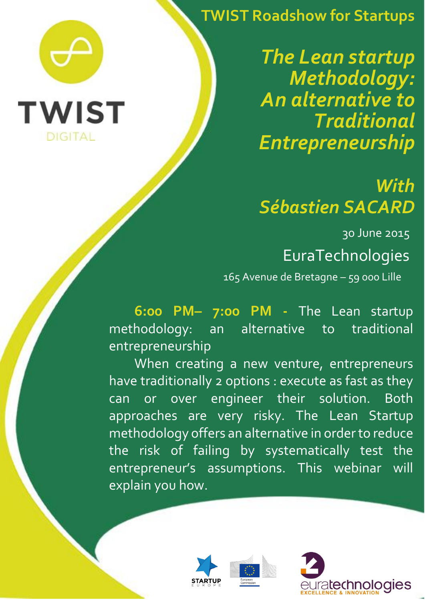**TWIST Roadshow for Startups**

*The Lean startup Methodology: An alternative to Traditional Entrepreneurship* 

## *With Sébastien SACARD*

30 June 2015

## EuraTechnologies

165 Avenue de Bretagne – 59 000 Lille

**6:00 PM– 7:00 PM -** The Lean startup methodology: an alternative to traditional entrepreneurship

When creating a new venture, entrepreneurs have traditionally 2 options : execute as fast as they can or over engineer their solution. Both approaches are very risky. The Lean Startup methodology offers an alternative in orderto reduce the risk of failing by systematically test the entrepreneur's assumptions. This webinar will explain you how.



í

**TWIST** 

**DIGITAL**